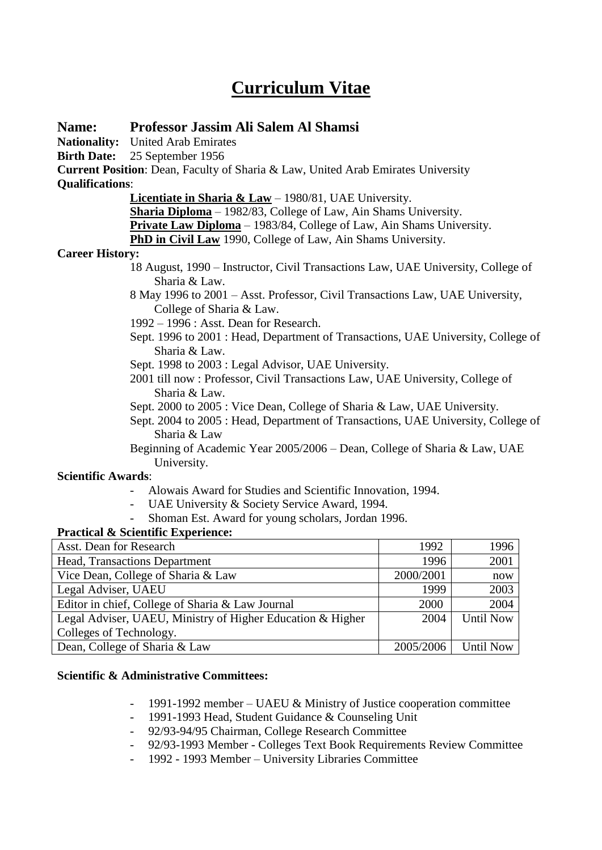# **Curriculum Vitae**

# **Name: Professor Jassim Ali Salem Al Shamsi**

**Nationality:** United Arab Emirates

**Birth Date:** 25 September 1956

**Current Position**: Dean, Faculty of Sharia & Law, United Arab Emirates University **Qualifications**:

**Licentiate in Sharia & Law** – 1980/81, UAE University.

**Sharia Diploma** – 1982/83, College of Law, Ain Shams University.

**Private Law Diploma** – 1983/84, College of Law, Ain Shams University.

**PhD in Civil Law** 1990, College of Law, Ain Shams University.

#### **Career History:**

- 18 August, 1990 Instructor, Civil Transactions Law, UAE University, College of Sharia & Law.
- 8 May 1996 to 2001 Asst. Professor, Civil Transactions Law, UAE University, College of Sharia & Law.
- 1992 1996 : Asst. Dean for Research.
- Sept. 1996 to 2001 : Head, Department of Transactions, UAE University, College of Sharia & Law.
- Sept. 1998 to 2003 : Legal Advisor, UAE University.
- 2001 till now : Professor, Civil Transactions Law, UAE University, College of Sharia & Law.
- Sept. 2000 to 2005 : Vice Dean, College of Sharia & Law, UAE University.
- Sept. 2004 to 2005 : Head, Department of Transactions, UAE University, College of Sharia & Law
- Beginning of Academic Year 2005/2006 Dean, College of Sharia & Law, UAE University.

#### **Scientific Awards**:

- Alowais Award for Studies and Scientific Innovation, 1994.
- UAE University & Society Service Award, 1994.
- Shoman Est. Award for young scholars, Jordan 1996.

## **Practical & Scientific Experience:**

| Asst. Dean for Research                                    | 1992      | 1996             |
|------------------------------------------------------------|-----------|------------------|
| Head, Transactions Department                              | 1996      | 2001             |
| Vice Dean, College of Sharia & Law                         | 2000/2001 | now              |
| Legal Adviser, UAEU                                        | 1999      | 2003             |
| Editor in chief, College of Sharia & Law Journal           | 2000      | 2004             |
| Legal Adviser, UAEU, Ministry of Higher Education & Higher | 2004      | <b>Until Now</b> |
| Colleges of Technology.                                    |           |                  |
| Dean, College of Sharia & Law                              | 2005/2006 | <b>Until Now</b> |

#### **Scientific & Administrative Committees:**

- 1991-1992 member UAEU & Ministry of Justice cooperation committee
- 1991-1993 Head, Student Guidance & Counseling Unit
- 92/93-94/95 Chairman, College Research Committee
- 92/93-1993 Member Colleges Text Book Requirements Review Committee
- 1992 1993 Member University Libraries Committee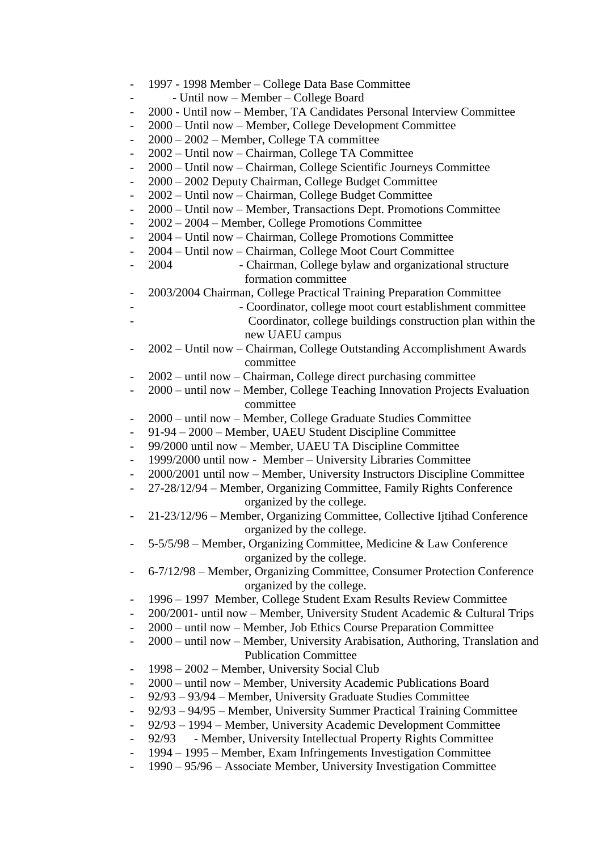| $\qquad \qquad -$        | 1997 - 1998 Member – College Data Base Committee                              |
|--------------------------|-------------------------------------------------------------------------------|
|                          | - Until now - Member - College Board                                          |
|                          | 2000 - Until now - Member, TA Candidates Personal Interview Committee         |
|                          | 2000 – Until now – Member, College Development Committee                      |
|                          | 2000 - 2002 - Member, College TA committee                                    |
|                          | 2002 - Until now - Chairman, College TA Committee                             |
| $\overline{\phantom{a}}$ | 2000 – Until now – Chairman, College Scientific Journeys Committee            |
| $\qquad \qquad -$        | 2000 - 2002 Deputy Chairman, College Budget Committee                         |
|                          | 2002 – Until now – Chairman, College Budget Committee                         |
|                          | 2000 – Until now – Member, Transactions Dept. Promotions Committee            |
|                          | 2002 - 2004 - Member, College Promotions Committee                            |
|                          | 2004 - Until now - Chairman, College Promotions Committee                     |
| $\overline{\phantom{a}}$ | 2004 – Until now – Chairman, College Moot Court Committee                     |
| $\overline{\phantom{a}}$ | - Chairman, College bylaw and organizational structure<br>2004                |
|                          | formation committee                                                           |
|                          | 2003/2004 Chairman, College Practical Training Preparation Committee          |
|                          | - Coordinator, college moot court establishment committee                     |
|                          | Coordinator, college buildings construction plan within the                   |
|                          | new UAEU campus                                                               |
|                          | 2002 – Until now – Chairman, College Outstanding Accomplishment Awards        |
|                          | committee                                                                     |
| $\overline{\phantom{0}}$ | 2002 – until now – Chairman, College direct purchasing committee              |
|                          | 2000 - until now - Member, College Teaching Innovation Projects Evaluation    |
|                          | committee                                                                     |
| $\overline{\phantom{a}}$ | 2000 – until now – Member, College Graduate Studies Committee                 |
|                          | 91-94 - 2000 - Member, UAEU Student Discipline Committee                      |
| $\overline{\phantom{a}}$ | 99/2000 until now - Member, UAEU TA Discipline Committee                      |
| $\overline{\phantom{a}}$ | 1999/2000 until now - Member - University Libraries Committee                 |
|                          | 2000/2001 until now - Member, University Instructors Discipline Committee     |
| $\qquad \qquad -$        | 27-28/12/94 – Member, Organizing Committee, Family Rights Conference          |
|                          | organized by the college.                                                     |
| $\overline{\phantom{0}}$ | 21-23/12/96 - Member, Organizing Committee, Collective Ijtihad Conference     |
|                          | organized by the college.                                                     |
|                          | 5-5/5/98 - Member, Organizing Committee, Medicine & Law Conference            |
|                          | organized by the college.                                                     |
|                          | 6-7/12/98 - Member, Organizing Committee, Consumer Protection Conference      |
|                          | organized by the college.                                                     |
| $\overline{\phantom{a}}$ | 1996 – 1997 Member, College Student Exam Results Review Committee             |
|                          | 200/2001- until now - Member, University Student Academic & Cultural Trips    |
|                          | 2000 – until now – Member, Job Ethics Course Preparation Committee            |
|                          | 2000 – until now – Member, University Arabisation, Authoring, Translation and |
|                          | <b>Publication Committee</b>                                                  |
| $\overline{\phantom{a}}$ | 1998 – 2002 – Member, University Social Club                                  |
|                          | 2000 - until now - Member, University Academic Publications Board             |
|                          | 92/93 – 93/94 – Member, University Graduate Studies Committee                 |
|                          | 92/93 - 94/95 - Member, University Summer Practical Training Committee        |
|                          | 92/93 - 1994 - Member, University Academic Development Committee              |
|                          | - Member, University Intellectual Property Rights Committee<br>92/93          |
|                          | 1994 – 1995 – Member, Exam Infringements Investigation Committee              |
| $\qquad \qquad -$        | 1990 – 95/96 – Associate Member, University Investigation Committee           |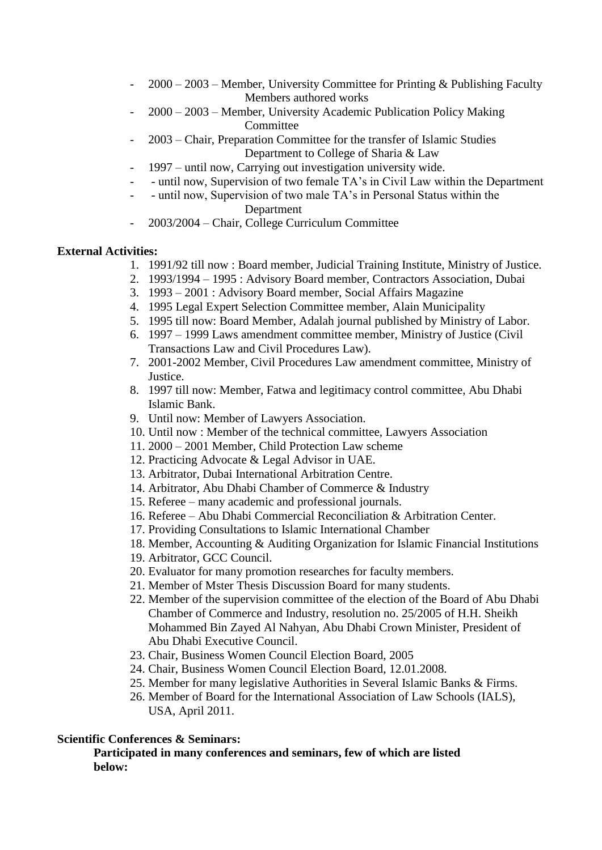- 2000 2003 Member, University Committee for Printing & Publishing Faculty Members authored works
- 2000 2003 Member, University Academic Publication Policy Making **Committee**
- 2003 Chair, Preparation Committee for the transfer of Islamic Studies Department to College of Sharia & Law
- 1997 until now, Carrying out investigation university wide.
- until now, Supervision of two female TA's in Civil Law within the Department
- until now, Supervision of two male TA's in Personal Status within the Department
- 2003/2004 Chair, College Curriculum Committee

#### **External Activities:**

- 1. 1991/92 till now : Board member, Judicial Training Institute, Ministry of Justice.
- 2. 1993/1994 1995 : Advisory Board member, Contractors Association, Dubai
- 3. 1993 2001 : Advisory Board member, Social Affairs Magazine
- 4. 1995 Legal Expert Selection Committee member, Alain Municipality
- 5. 1995 till now: Board Member, Adalah journal published by Ministry of Labor.
- 6. 1997 1999 Laws amendment committee member, Ministry of Justice (Civil Transactions Law and Civil Procedures Law).
- 7. 2001-2002 Member, Civil Procedures Law amendment committee, Ministry of Justice.
- 8. 1997 till now: Member, Fatwa and legitimacy control committee, Abu Dhabi Islamic Bank.
- 9. Until now: Member of Lawyers Association.
- 10. Until now : Member of the technical committee, Lawyers Association
- 11. 2000 2001 Member, Child Protection Law scheme
- 12. Practicing Advocate & Legal Advisor in UAE.
- 13. Arbitrator, Dubai International Arbitration Centre.
- 14. Arbitrator, Abu Dhabi Chamber of Commerce & Industry
- 15. Referee many academic and professional journals.
- 16. Referee Abu Dhabi Commercial Reconciliation & Arbitration Center.
- 17. Providing Consultations to Islamic International Chamber
- 18. Member, Accounting & Auditing Organization for Islamic Financial Institutions
- 19. Arbitrator, GCC Council.
- 20. Evaluator for many promotion researches for faculty members.
- 21. Member of Mster Thesis Discussion Board for many students.
- 22. Member of the supervision committee of the election of the Board of Abu Dhabi Chamber of Commerce and Industry, resolution no. 25/2005 of H.H. Sheikh Mohammed Bin Zayed Al Nahyan, Abu Dhabi Crown Minister, President of Abu Dhabi Executive Council.
- 23. Chair, Business Women Council Election Board, 2005
- 24. Chair, Business Women Council Election Board, 12.01.2008.
- 25. Member for many legislative Authorities in Several Islamic Banks & Firms.
- 26. Member of Board for the International Association of Law Schools (IALS), USA, April 2011.

#### **Scientific Conferences & Seminars:**

**Participated in many conferences and seminars, few of which are listed below:**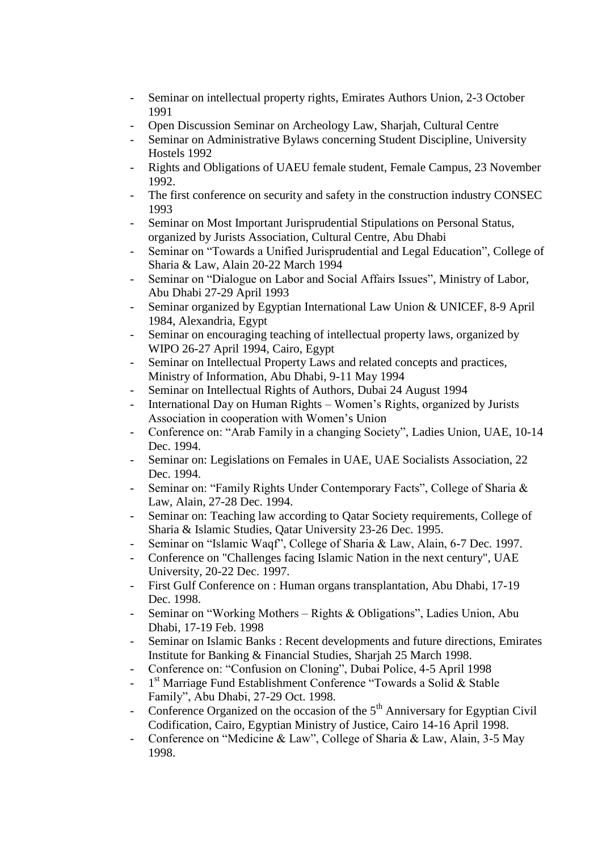- Seminar on intellectual property rights, Emirates Authors Union, 2-3 October 1991
- Open Discussion Seminar on Archeology Law, Sharjah, Cultural Centre
- Seminar on Administrative Bylaws concerning Student Discipline, University Hostels 1992
- Rights and Obligations of UAEU female student, Female Campus, 23 November 1992.
- The first conference on security and safety in the construction industry CONSEC 1993
- Seminar on Most Important Jurisprudential Stipulations on Personal Status, organized by Jurists Association, Cultural Centre, Abu Dhabi
- Seminar on "Towards a Unified Jurisprudential and Legal Education", College of Sharia & Law, Alain 20-22 March 1994
- Seminar on "Dialogue on Labor and Social Affairs Issues", Ministry of Labor, Abu Dhabi 27-29 April 1993
- Seminar organized by Egyptian International Law Union & UNICEF, 8-9 April 1984, Alexandria, Egypt
- Seminar on encouraging teaching of intellectual property laws, organized by WIPO 26-27 April 1994, Cairo, Egypt
- Seminar on Intellectual Property Laws and related concepts and practices, Ministry of Information, Abu Dhabi, 9-11 May 1994
- Seminar on Intellectual Rights of Authors, Dubai 24 August 1994
- International Day on Human Rights Women's Rights, organized by Jurists Association in cooperation with Women's Union
- Conference on: "Arab Family in a changing Society", Ladies Union, UAE, 10-14 Dec. 1994.
- Seminar on: Legislations on Females in UAE, UAE Socialists Association, 22 Dec. 1994.
- Seminar on: "Family Rights Under Contemporary Facts", College of Sharia & Law, Alain, 27-28 Dec. 1994.
- Seminar on: Teaching law according to Qatar Society requirements, College of Sharia & Islamic Studies, Qatar University 23-26 Dec. 1995.
- Seminar on "Islamic Waqf", College of Sharia & Law, Alain, 6-7 Dec. 1997.
- Conference on "Challenges facing Islamic Nation in the next century", UAE University, 20-22 Dec. 1997.
- First Gulf Conference on : Human organs transplantation, Abu Dhabi, 17-19 Dec. 1998.
- Seminar on "Working Mothers Rights & Obligations", Ladies Union, Abu Dhabi, 17-19 Feb. 1998
- Seminar on Islamic Banks : Recent developments and future directions, Emirates Institute for Banking & Financial Studies, Sharjah 25 March 1998.
- Conference on: "Confusion on Cloning", Dubai Police, 4-5 April 1998
- 1<sup>st</sup> Marriage Fund Establishment Conference "Towards a Solid & Stable Family", Abu Dhabi, 27-29 Oct. 1998.
- Conference Organized on the occasion of the  $5<sup>th</sup>$  Anniversary for Egyptian Civil Codification, Cairo, Egyptian Ministry of Justice, Cairo 14-16 April 1998.
- Conference on "Medicine & Law", College of Sharia & Law, Alain, 3-5 May 1998.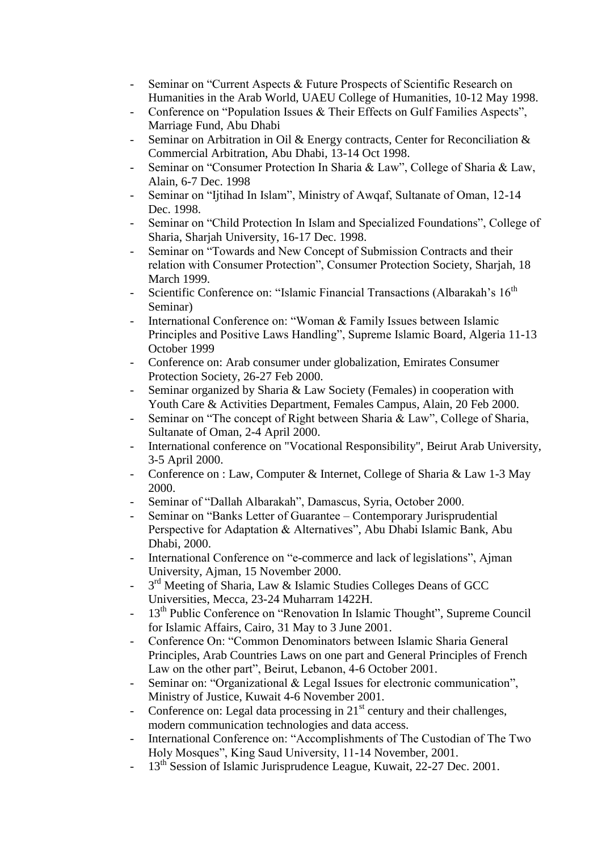- Seminar on "Current Aspects & Future Prospects of Scientific Research on Humanities in the Arab World, UAEU College of Humanities, 10-12 May 1998.
- Conference on "Population Issues & Their Effects on Gulf Families Aspects", Marriage Fund, Abu Dhabi
- Seminar on Arbitration in Oil & Energy contracts, Center for Reconciliation  $\&$ Commercial Arbitration, Abu Dhabi, 13-14 Oct 1998.
- Seminar on "Consumer Protection In Sharia & Law", College of Sharia & Law, Alain, 6-7 Dec. 1998
- Seminar on "Ijtihad In Islam", Ministry of Awqaf, Sultanate of Oman, 12-14 Dec. 1998.
- Seminar on "Child Protection In Islam and Specialized Foundations", College of Sharia, Sharjah University, 16-17 Dec. 1998.
- Seminar on "Towards and New Concept of Submission Contracts and their relation with Consumer Protection", Consumer Protection Society, Sharjah, 18 March 1999.
- Scientific Conference on: "Islamic Financial Transactions (Albarakah's 16<sup>th</sup>) Seminar)
- International Conference on: "Woman & Family Issues between Islamic Principles and Positive Laws Handling", Supreme Islamic Board, Algeria 11-13 October 1999
- Conference on: Arab consumer under globalization, Emirates Consumer Protection Society, 26-27 Feb 2000.
- Seminar organized by Sharia & Law Society (Females) in cooperation with Youth Care & Activities Department, Females Campus, Alain, 20 Feb 2000.
- Seminar on "The concept of Right between Sharia & Law", College of Sharia, Sultanate of Oman, 2-4 April 2000.
- International conference on "Vocational Responsibility", Beirut Arab University, 3-5 April 2000.
- Conference on : Law, Computer & Internet, College of Sharia & Law 1-3 May 2000.
- Seminar of "Dallah Albarakah", Damascus, Syria, October 2000.
- Seminar on "Banks Letter of Guarantee Contemporary Jurisprudential Perspective for Adaptation & Alternatives", Abu Dhabi Islamic Bank, Abu Dhabi, 2000.
- International Conference on "e-commerce and lack of legislations", Ajman University, Ajman, 15 November 2000.
- <sup>-</sup> 3<sup>rd</sup> Meeting of Sharia, Law & Islamic Studies Colleges Deans of GCC Universities, Mecca, 23-24 Muharram 1422H.
- 13<sup>th</sup> Public Conference on "Renovation In Islamic Thought", Supreme Council for Islamic Affairs, Cairo, 31 May to 3 June 2001.
- Conference On: "Common Denominators between Islamic Sharia General Principles, Arab Countries Laws on one part and General Principles of French Law on the other part", Beirut, Lebanon, 4-6 October 2001.
- Seminar on: "Organizational & Legal Issues for electronic communication", Ministry of Justice, Kuwait 4-6 November 2001.
- Conference on: Legal data processing in  $21<sup>st</sup>$  century and their challenges, modern communication technologies and data access.
- International Conference on: "Accomplishments of The Custodian of The Two Holy Mosques", King Saud University, 11-14 November, 2001.
- 13<sup>th</sup> Session of Islamic Jurisprudence League, Kuwait, 22-27 Dec. 2001.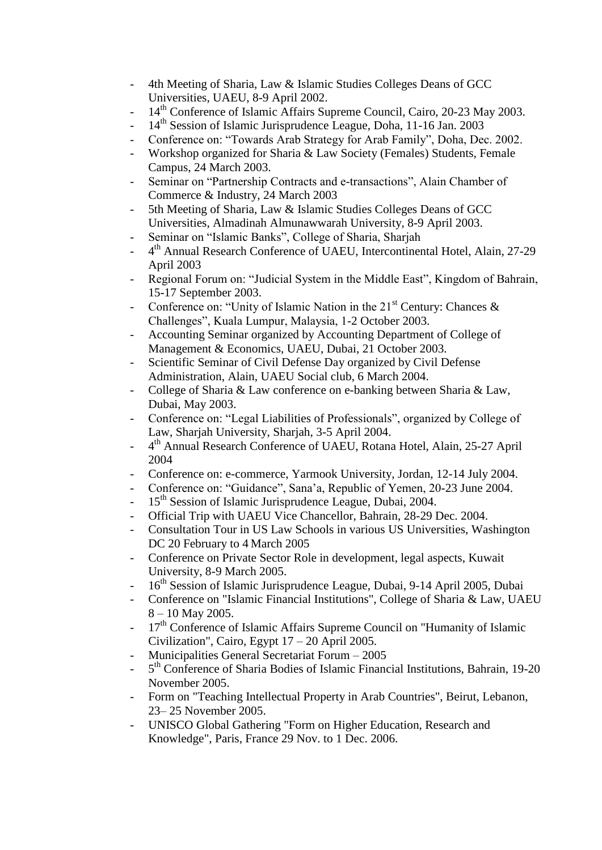- 4th Meeting of Sharia, Law & Islamic Studies Colleges Deans of GCC Universities, UAEU, 8-9 April 2002.
- 14<sup>th</sup> Conference of Islamic Affairs Supreme Council, Cairo, 20-23 May 2003.
- 14<sup>th</sup> Session of Islamic Jurisprudence League, Doha, 11-16 Jan. 2003
- Conference on: "Towards Arab Strategy for Arab Family", Doha, Dec. 2002.
- Workshop organized for Sharia & Law Society (Females) Students, Female Campus, 24 March 2003.
- Seminar on "Partnership Contracts and e-transactions", Alain Chamber of Commerce & Industry, 24 March 2003
- 5th Meeting of Sharia, Law & Islamic Studies Colleges Deans of GCC Universities, Almadinah Almunawwarah University, 8-9 April 2003.
- Seminar on "Islamic Banks", College of Sharia, Sharjah
- 4<sup>th</sup> Annual Research Conference of UAEU, Intercontinental Hotel, Alain, 27-29 April 2003
- Regional Forum on: "Judicial System in the Middle East", Kingdom of Bahrain, 15-17 September 2003.
- Conference on: "Unity of Islamic Nation in the  $21<sup>st</sup>$  Century: Chances & Challenges", Kuala Lumpur, Malaysia, 1-2 October 2003.
- Accounting Seminar organized by Accounting Department of College of Management & Economics, UAEU, Dubai, 21 October 2003.
- Scientific Seminar of Civil Defense Day organized by Civil Defense Administration, Alain, UAEU Social club, 6 March 2004.
- College of Sharia & Law conference on e-banking between Sharia & Law, Dubai, May 2003.
- Conference on: "Legal Liabilities of Professionals", organized by College of Law, Sharjah University, Sharjah, 3-5 April 2004.
- $-$ 4<sup>th</sup> Annual Research Conference of UAEU, Rotana Hotel, Alain, 25-27 April 2004
- Conference on: e-commerce, Yarmook University, Jordan, 12-14 July 2004.
- Conference on: "Guidance", Sana'a, Republic of Yemen, 20-23 June 2004.
- 15<sup>th</sup> Session of Islamic Jurisprudence League, Dubai, 2004.
- Official Trip with UAEU Vice Chancellor, Bahrain, 28-29 Dec. 2004.
- Consultation Tour in US Law Schools in various US Universities, Washington DC 20 February to 4 March 2005
- Conference on Private Sector Role in development, legal aspects, Kuwait University, 8-9 March 2005.
- 16<sup>th</sup> Session of Islamic Jurisprudence League, Dubai, 9-14 April 2005, Dubai
- Conference on "Islamic Financial Institutions", College of Sharia & Law, UAEU 8 – 10 May 2005.
- $17<sup>th</sup>$  Conference of Islamic Affairs Supreme Council on "Humanity of Islamic Civilization", Cairo, Egypt 17 – 20 April 2005.
- Municipalities General Secretariat Forum 2005
- 5<sup>th</sup> Conference of Sharia Bodies of Islamic Financial Institutions, Bahrain, 19-20 November 2005.
- Form on "Teaching Intellectual Property in Arab Countries", Beirut, Lebanon, 23– 25 November 2005.
- UNISCO Global Gathering "Form on Higher Education, Research and Knowledge", Paris, France 29 Nov. to 1 Dec. 2006.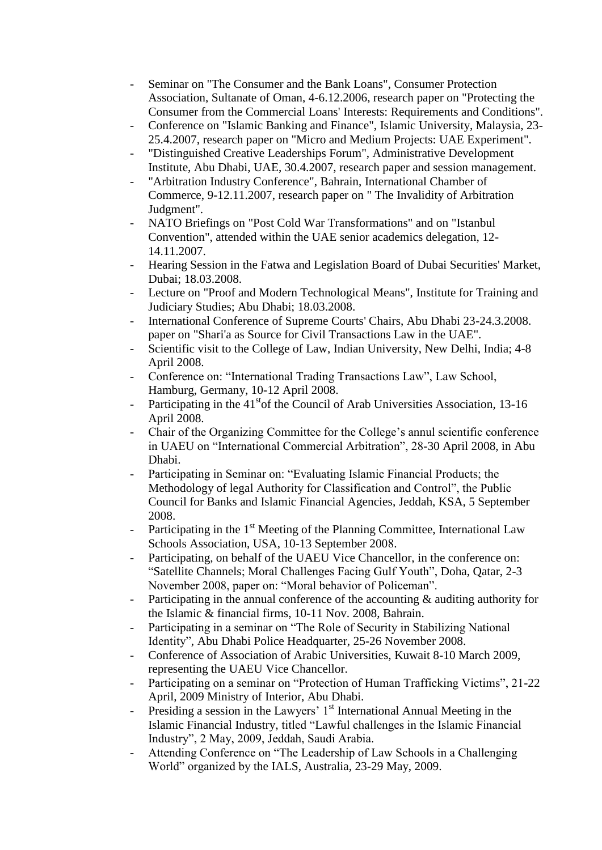- Seminar on "The Consumer and the Bank Loans", Consumer Protection Association, Sultanate of Oman, 4-6.12.2006, research paper on "Protecting the Consumer from the Commercial Loans' Interests: Requirements and Conditions".
- Conference on "Islamic Banking and Finance", Islamic University, Malaysia, 23-25.4.2007, research paper on "Micro and Medium Projects: UAE Experiment".
- "Distinguished Creative Leaderships Forum", Administrative Development Institute, Abu Dhabi, UAE, 30.4.2007, research paper and session management.
- "Arbitration Industry Conference", Bahrain, International Chamber of Commerce, 9-12.11.2007, research paper on " The Invalidity of Arbitration Judgment".
- NATO Briefings on "Post Cold War Transformations" and on "Istanbul Convention", attended within the UAE senior academics delegation, 12- 14.11.2007.
- Hearing Session in the Fatwa and Legislation Board of Dubai Securities' Market, Dubai; 18.03.2008.
- Lecture on "Proof and Modern Technological Means", Institute for Training and Judiciary Studies; Abu Dhabi; 18.03.2008.
- International Conference of Supreme Courts' Chairs, Abu Dhabi 23-24.3.2008. paper on "Shari'a as Source for Civil Transactions Law in the UAE".
- Scientific visit to the College of Law, Indian University, New Delhi, India; 4-8 April 2008.
- Conference on: "International Trading Transactions Law", Law School, Hamburg, Germany, 10-12 April 2008.
- Participating in the  $41<sup>st</sup>$  of the Council of Arab Universities Association, 13-16 April 2008.
- Chair of the Organizing Committee for the College's annul scientific conference in UAEU on "International Commercial Arbitration", 28-30 April 2008, in Abu Dhabi.
- Participating in Seminar on: "Evaluating Islamic Financial Products; the Methodology of legal Authority for Classification and Control", the Public Council for Banks and Islamic Financial Agencies, Jeddah, KSA, 5 September 2008.
- Participating in the 1<sup>st</sup> Meeting of the Planning Committee, International Law Schools Association, USA, 10-13 September 2008.
- Participating, on behalf of the UAEU Vice Chancellor, in the conference on: "Satellite Channels; Moral Challenges Facing Gulf Youth", Doha, Qatar, 2-3 November 2008, paper on: "Moral behavior of Policeman".
- Participating in the annual conference of the accounting  $\&$  auditing authority for the Islamic & financial firms, 10-11 Nov. 2008, Bahrain.
- Participating in a seminar on "The Role of Security in Stabilizing National Identity", Abu Dhabi Police Headquarter, 25-26 November 2008.
- Conference of Association of Arabic Universities, Kuwait 8-10 March 2009, representing the UAEU Vice Chancellor.
- Participating on a seminar on "Protection of Human Trafficking Victims", 21-22 April, 2009 Ministry of Interior, Abu Dhabi.
- Presiding a session in the Lawyers'  $1<sup>st</sup>$  International Annual Meeting in the Islamic Financial Industry, titled "Lawful challenges in the Islamic Financial Industry", 2 May, 2009, Jeddah, Saudi Arabia.
- Attending Conference on "The Leadership of Law Schools in a Challenging World" organized by the IALS, Australia, 23-29 May, 2009.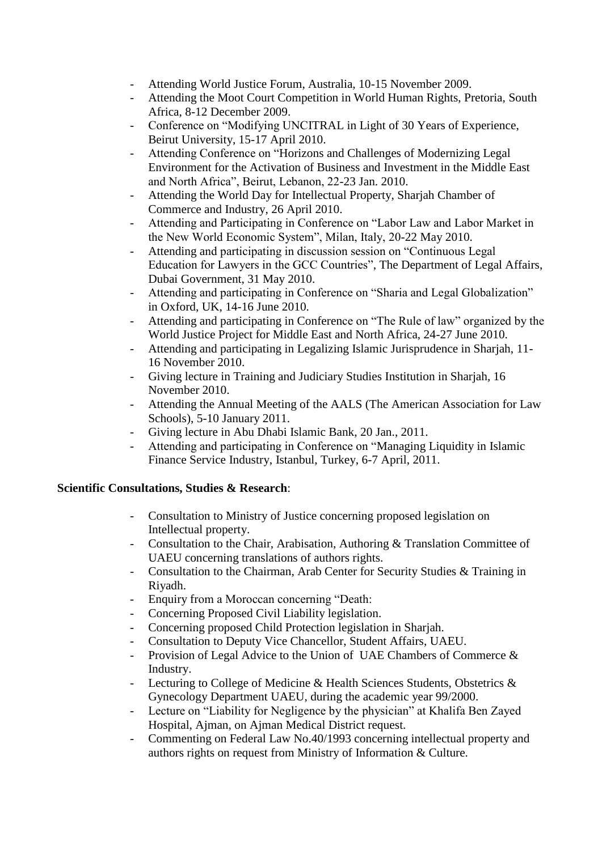- Attending World Justice Forum, Australia, 10-15 November 2009.
- Attending the Moot Court Competition in World Human Rights, Pretoria, South Africa, 8-12 December 2009.
- Conference on "Modifying UNCITRAL in Light of 30 Years of Experience, Beirut University, 15-17 April 2010.
- Attending Conference on "Horizons and Challenges of Modernizing Legal Environment for the Activation of Business and Investment in the Middle East and North Africa", Beirut, Lebanon, 22-23 Jan. 2010.
- Attending the World Day for Intellectual Property, Sharjah Chamber of Commerce and Industry, 26 April 2010.
- Attending and Participating in Conference on "Labor Law and Labor Market in the New World Economic System", Milan, Italy, 20-22 May 2010.
- Attending and participating in discussion session on "Continuous Legal Education for Lawyers in the GCC Countries", The Department of Legal Affairs, Dubai Government, 31 May 2010.
- Attending and participating in Conference on "Sharia and Legal Globalization" in Oxford, UK, 14-16 June 2010.
- Attending and participating in Conference on "The Rule of law" organized by the World Justice Project for Middle East and North Africa, 24-27 June 2010.
- Attending and participating in Legalizing Islamic Jurisprudence in Sharjah, 11- 16 November 2010.
- Giving lecture in Training and Judiciary Studies Institution in Sharjah, 16 November 2010.
- Attending the Annual Meeting of the AALS (The American Association for Law Schools), 5-10 January 2011.
- Giving lecture in Abu Dhabi Islamic Bank, 20 Jan., 2011.
- Attending and participating in Conference on "Managing Liquidity in Islamic Finance Service Industry, Istanbul, Turkey, 6-7 April, 2011.

## **Scientific Consultations, Studies & Research**:

- Consultation to Ministry of Justice concerning proposed legislation on Intellectual property.
- Consultation to the Chair, Arabisation, Authoring & Translation Committee of UAEU concerning translations of authors rights.
- Consultation to the Chairman, Arab Center for Security Studies & Training in Riyadh.
- Enquiry from a Moroccan concerning "Death:
- Concerning Proposed Civil Liability legislation.
- Concerning proposed Child Protection legislation in Sharjah.
- Consultation to Deputy Vice Chancellor, Student Affairs, UAEU.
- Provision of Legal Advice to the Union of UAE Chambers of Commerce  $\&$ Industry.
- Lecturing to College of Medicine & Health Sciences Students, Obstetrics & Gynecology Department UAEU, during the academic year 99/2000.
- Lecture on "Liability for Negligence by the physician" at Khalifa Ben Zayed Hospital, Ajman, on Ajman Medical District request.
- Commenting on Federal Law No.40/1993 concerning intellectual property and authors rights on request from Ministry of Information & Culture.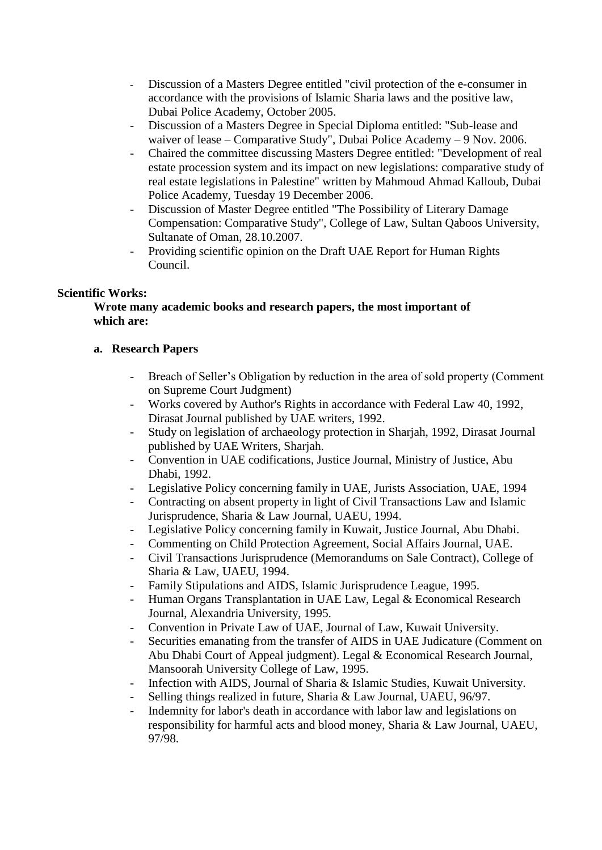- Discussion of a Masters Degree entitled "civil protection of the e-consumer in accordance with the provisions of Islamic Sharia laws and the positive law, Dubai Police Academy, October 2005.
- Discussion of a Masters Degree in Special Diploma entitled: "Sub-lease and waiver of lease – Comparative Study", Dubai Police Academy – 9 Nov. 2006.
- Chaired the committee discussing Masters Degree entitled: "Development of real estate procession system and its impact on new legislations: comparative study of real estate legislations in Palestine" written by Mahmoud Ahmad Kalloub, Dubai Police Academy, Tuesday 19 December 2006.
- Discussion of Master Degree entitled "The Possibility of Literary Damage Compensation: Comparative Study", College of Law, Sultan Qaboos University, Sultanate of Oman, 28.10.2007.
- Providing scientific opinion on the Draft UAE Report for Human Rights Council.

# **Scientific Works:**

**Wrote many academic books and research papers, the most important of which are:**

# **a. Research Papers**

- Breach of Seller's Obligation by reduction in the area of sold property (Comment on Supreme Court Judgment)
- Works covered by Author's Rights in accordance with Federal Law 40, 1992, Dirasat Journal published by UAE writers, 1992.
- Study on legislation of archaeology protection in Sharjah, 1992, Dirasat Journal published by UAE Writers, Sharjah.
- Convention in UAE codifications, Justice Journal, Ministry of Justice, Abu Dhabi, 1992.
- Legislative Policy concerning family in UAE, Jurists Association, UAE, 1994
- Contracting on absent property in light of Civil Transactions Law and Islamic Jurisprudence, Sharia & Law Journal, UAEU, 1994.
- Legislative Policy concerning family in Kuwait, Justice Journal, Abu Dhabi.
- Commenting on Child Protection Agreement, Social Affairs Journal, UAE.
- Civil Transactions Jurisprudence (Memorandums on Sale Contract), College of Sharia & Law, UAEU, 1994.
- Family Stipulations and AIDS, Islamic Jurisprudence League, 1995.
- Human Organs Transplantation in UAE Law, Legal & Economical Research Journal, Alexandria University, 1995.
- Convention in Private Law of UAE, Journal of Law, Kuwait University.
- Securities emanating from the transfer of AIDS in UAE Judicature (Comment on Abu Dhabi Court of Appeal judgment). Legal & Economical Research Journal, Mansoorah University College of Law, 1995.
- Infection with AIDS, Journal of Sharia & Islamic Studies, Kuwait University.
- Selling things realized in future, Sharia & Law Journal, UAEU, 96/97.
- Indemnity for labor's death in accordance with labor law and legislations on responsibility for harmful acts and blood money, Sharia & Law Journal, UAEU, 97/98.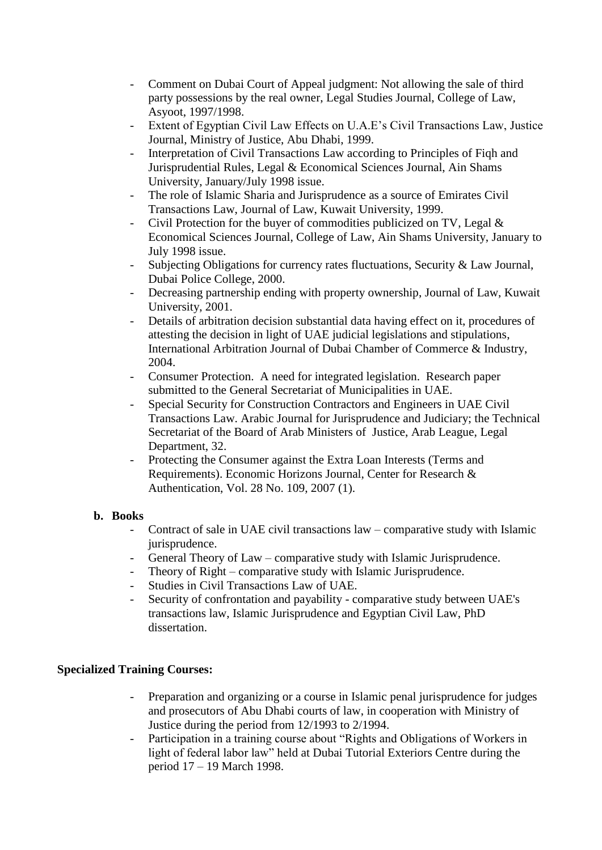- Comment on Dubai Court of Appeal judgment: Not allowing the sale of third party possessions by the real owner, Legal Studies Journal, College of Law, Asyoot, 1997/1998.
- Extent of Egyptian Civil Law Effects on U.A.E's Civil Transactions Law, Justice Journal, Ministry of Justice, Abu Dhabi, 1999.
- Interpretation of Civil Transactions Law according to Principles of Fiqh and Jurisprudential Rules, Legal & Economical Sciences Journal, Ain Shams University, January/July 1998 issue.
- The role of Islamic Sharia and Jurisprudence as a source of Emirates Civil Transactions Law, Journal of Law, Kuwait University, 1999.
- Civil Protection for the buyer of commodities publicized on TV, Legal & Economical Sciences Journal, College of Law, Ain Shams University, January to July 1998 issue.
- Subjecting Obligations for currency rates fluctuations, Security & Law Journal, Dubai Police College, 2000.
- Decreasing partnership ending with property ownership, Journal of Law, Kuwait University, 2001.
- Details of arbitration decision substantial data having effect on it, procedures of attesting the decision in light of UAE judicial legislations and stipulations, International Arbitration Journal of Dubai Chamber of Commerce & Industry, 2004.
- Consumer Protection. A need for integrated legislation. Research paper submitted to the General Secretariat of Municipalities in UAE.
- Special Security for Construction Contractors and Engineers in UAE Civil Transactions Law. Arabic Journal for Jurisprudence and Judiciary; the Technical Secretariat of the Board of Arab Ministers of Justice, Arab League, Legal Department, 32.
- Protecting the Consumer against the Extra Loan Interests (Terms and Requirements). Economic Horizons Journal, Center for Research & Authentication, Vol. 28 No. 109, 2007 (1).

## **b. Books**

- Contract of sale in UAE civil transactions law comparative study with Islamic jurisprudence.
- General Theory of Law comparative study with Islamic Jurisprudence.
- Theory of Right comparative study with Islamic Jurisprudence.
- Studies in Civil Transactions Law of UAE.
- Security of confrontation and payability comparative study between UAE's transactions law, Islamic Jurisprudence and Egyptian Civil Law, PhD dissertation.

# **Specialized Training Courses:**

- Preparation and organizing or a course in Islamic penal jurisprudence for judges and prosecutors of Abu Dhabi courts of law, in cooperation with Ministry of Justice during the period from 12/1993 to 2/1994.
- Participation in a training course about "Rights and Obligations of Workers in light of federal labor law" held at Dubai Tutorial Exteriors Centre during the period 17 – 19 March 1998.